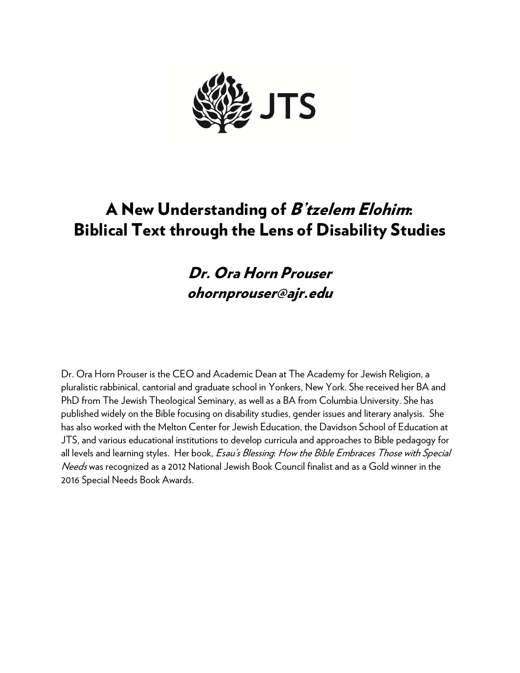

# A New Understanding of B'tzelem Elohim: Biblical Text through the Lens of Disability Studies

# Dr. Ora Horn Prouser ohornprouser@ajr.edu

Dr. Ora Horn Prouser is the CEO and Academic Dean at The Academy for Jewish Religion, a pluralistic rabbinical, cantorial and graduate school in Yonkers, New York. She received her BA and PhD from The Jewish Theological Seminary, as well as a BA from Columbia University. She has published widely on the Bible focusing on disability studies, gender issues and literary analysis. She has also worked with the Melton Center for Jewish Education, the Davidson School of Education at JTS, and various educational institutions to develop curricula and approaches to Bible pedagogy for all levels and learning styles. Her book, Esau's Blessing: How the Bible Embraces Those with Special Needs was recognized as a 2012 National Jewish Book Council finalist and as a Gold winner in the 2016 Special Needs Book Awards.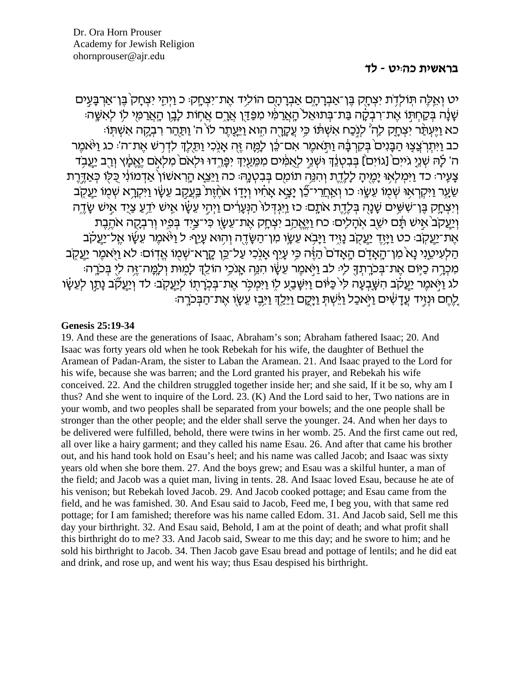#### בראשית כהיט - לד

יט וְאֱלֶה תִּוֹלְדָת יִצְחָק בֵּן־אֲבְרָהֶם אֲבִרְהֶם הוֹלִיד אֶת־יִצְחֲקּ: כ וַיִּהֵי יִצְחָק בֵּן־אֲרְבָּעֵים ֹשָׁנָה בְּקַחְתֹּו אֶת־רִבְקָה בַּת־בְּתוּאֵל הָאֲרַמִּ֫י מִפַּדֵּן אֲרֶם אֲחֶוֹת לָבֶן הָאֲרַמִּי לִוּ לְאִשֶּׁה כא וַיַּעְתֹּר יַצְחֲק לָה לִנְכַח אֲשִׁתּׁוֹ כֵּי עֲקָרֶה הָוא וַיַּעֲתָר לוֹ ה' וַתַּהַר רְבַקָה אַשִׁתְּוֹ: כב וַיִּתְרְצֲצַוּ הַבָּנִים בְּקִרְבָּה וַתְּאמֶר אִם־כֵּן לָמֶה זֶהְ אָנִכִי וַתֵּלֶךְ לִדְרְשׁ אֵת־ה' כג וַיֹּאמֵר ה' לָהּ שְׁנֵיָ גֹייִם ْ[גוֹיִם] בְּבִטְנֵדְ וּשְׁנֵי לְאֻמִּים מִמֵּעַיְדְּ יִפְּרֵדוּ וּלְאֹם קֵאֲלְאָ וְרָב יַעֲבְד ַצָּעֵירּ כד וַיִּמְלָאָוּ יַמֱיִהָ לַלָדֶת וְהִנֵּה תוֹמִם בִּבְטְנֵהּ כה וַיֵּצֵא הַרְאשׁוֹן אַדְמוֹנִי כִּלִו כִּאֲדֶרֶת ְשָׂעָר וַיִּקְרָאוּ שָׁמַוֹ עֵשֶׂוּ כו וְאַחֲרִי־כֶּן יַצֵא אֲחָׁיו וְיַדֵּוֹ אֹחֶזֶת בַּעֲקָב עֲשֶׂו וַיִּקְרֵא שָׁמִוֹ יַעֲקָב וְיִצְחָק בֶּן־שִׁשָּׁיִם שָׁנָהָ בְּלֶדֶת אֹתֶם כז וַיִּגְדְלוֹ הַנְּעֲרִ֫ים וַיְהִי עֵשָׂו אָישׁ יֹדֵעַ צַיֵד אֵישׁ שָׂדֵה וְיַעֲקֹב<sup>י</sup>אִישׁ תָּם יֹשֵׁב אִהָלִים: כֹּח וַיֶּאֱהַב יִצְחָק אֶת־עֵשָׂו כִּי־צַיִד בְּמֵיו וְרִבְקָה אֹהֶבֶת אֶת־יַעֲקֹבּ: כט וַיַּזֶדְ יַעֲקֹב נַזֶּיד וַיַּבְא עֶשֶׂו מְן־הַשֶּׂדֶה וְהִוּא עָיֵף: ל וַיֹּאמֶר עֶשֶׂו אֱל־יַעֲקֹב הַלְעִיטֵנִי נָא מִן־הָאָדָם הָאֲדֹם הַאֲדֹם הַיָּנִי עֲיֵף אָנְכִי עַל־כֵּן קֶרָא־שִׁמְוֹ אֵדְוֹם: לֹא וַיִּאמֵר יַעֲקָב מִכְרֶה כַּיֶּוֹם אֵת־בִּכֹרֶתוּךָ לִיּ לֹב וַיְּאמֵר עֵשָׂו הִנֵּה אֲנֹכֵי הוֹלֵךְ לַמְוּת וְלַמֱה־זֶה לִי בִּכֹרֶה לג וַיֹּאמֶר יַעֲקֹב הִשֶּׁבְעָה לִי כַּיּּׁוֹם וַיִּשֶּׁבַע לוֹ וַיִּמְכִּר אֶת־בִּכְרַתוֹ לִיַעֲקֹב: לד וְיַעֲקֹב נַתֲן לִעֶשָׂו ַלְחֵם וּנְזֵיד עֲדַשִׁים וַיֹּאכַל וַיֹּשִׁתְּ וַיַּקַם וַיֵּלֵךְ וַיַּבֵן עֲשֶׂו אֶת־הַבְּכֹרֵה:

#### **Genesis 25:19-34**

19. And these are the generations of Isaac, Abraham's son; Abraham fathered Isaac; 20. And Isaac was forty years old when he took Rebekah for his wife, the daughter of Bethuel the Aramean of Padan-Aram, the sister to Laban the Aramean, 21. And Isaac prayed to the Lord for his wife, because she was barren; and the Lord granted his prayer, and Rebekah his wife conceived. 22. And the children struggled together inside her; and she said, If it be so, why am I thus? And she went to inquire of the Lord. 23. (K) And the Lord said to her, Two nations are in your womb, and two peoples shall be separated from your bowels; and the one people shall be stronger than the other people; and the elder shall serve the younger. 24. And when her days to be delivered were fulfilled, behold, there were twins in her womb. 25. And the first came out red, all over like a hairy garment; and they called his name Esau. 26. And after that came his brother out, and his hand took hold on Esau's heel; and his name was called Jacob; and Isaac was sixty years old when she bore them. 27. And the boys grew; and Esau was a skilful hunter, a man of the field; and Jacob was a quiet man, living in tents. 28. And Isaac loved Esau, because he ate of his venison; but Rebekah loved Jacob. 29. And Jacob cooked pottage; and Esau came from the field, and he was famished. 30. And Esau said to Jacob, Feed me, I beg you, with that same red pottage: for I am famished: therefore was his name called Edom. 31. And Jacob said, Sell me this day your birthright. 32. And Esau said, Behold, I am at the point of death; and what profit shall this birthright do to me? 33. And Jacob said, Swear to me this day; and he swore to him; and he sold his birthright to Jacob. 34. Then Jacob gave Esau bread and pottage of lentils; and he did eat and drink, and rose up, and went his way; thus Esau despised his birthright.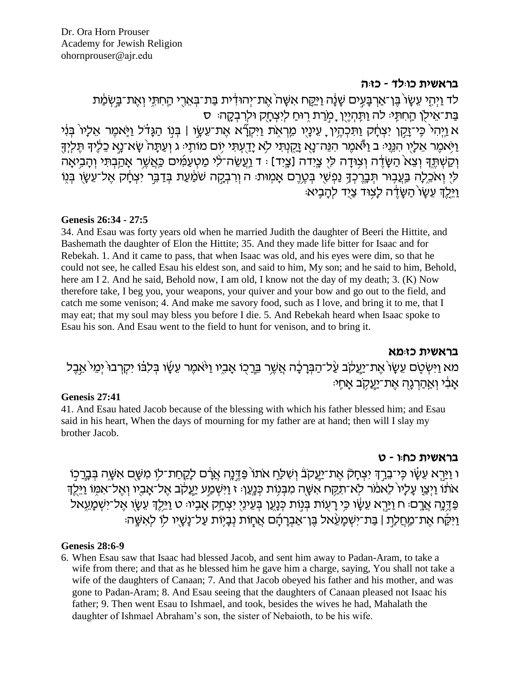### בראשית כו:לד - כז:ה

ְלד וַיְהֵי עֵשֶׂוֹ בֵּן־אַרְבַּעֵים שַׁנַּה וַיַּקֵּח אִשָּׁה אֶת־יְהוּדִית בַּת־בְּאֶרֶי הַחְתֵּי וְאֶת־בַּשְׂמַת בַּת־אֵילָן הַחִתְּיּ לֹה וַתְּהְיֶיֶן ָמְרַת רְוּחַ לְיִצְחָק וּלְרִבְקֶה: ס א וַיְהִי כֵּי־זֵקֵן יִצְחֵק וַתִּכְהֵין ַ עֵינֵיו מֵרְאַת וַיִּקְרָ̃א אֶת־עֲשֶׂו | בְּנִוּ הַגֲדֹל וַיֹּאמֶר אֱלַיו בִּנְי וַיְּאמֶר אֵלָיֶו הְנֵיֵנִי ב וַיֹּאמֶר הִנֵּה־נָאָ זַקְנְתִּי לְא יַדֻעְתִּי יִוֹם מוֹתֵיּ ג וְעַתָּה שָׂא־נֵא כֵלֶיךָ תֵּלִיךָ וְקַשְׁתֵּךְ וְצֵא הַשָּׂדֶה וְצְוּדָה לִיְ צֵיִדה [צֵיִד] : ד וַעֲשֶׂה־לִי מַטְעַמְים כַּאֲשֵׁר אָהֲבִתִּי וְהָבִיאָה לִי וְאֹכֵלָה בַּעֲבָוּר תְּבָרֶכְךָ נַפְשָׁי בְּטֶרֶם אָמְוּת: ה וְרִבְקָה שֹׁמַׁעַת בְּדַבֵּר יִצְחָ֫ק אֶל־עֵשָׂו בְּנֵוֹ וילד עשו השדה לצוד ציד להביא:

#### Genesis 26:34 - 27:5

34. And Esau was forty years old when he married Judith the daughter of Beeri the Hittite, and Bashemath the daughter of Elon the Hittite: 35. And they made life bitter for Isaac and for Rebekah. 1. And it came to pass, that when Isaac was old, and his eyes were dim, so that he could not see, he called Esau his eldest son, and said to him, My son; and he said to him, Behold, here am I 2. And he said, Behold now, I am old, I know not the day of my death; 3. (K) Now therefore take, I beg you, your weapons, your quiver and your bow and go out to the field, and catch me some ventson; 4. And make me savory food, such as I love, and bring it to me, that I may eat; that my soul may bless you before I die. 5. And Rebekah heard when Isaac spoke to Esau his son. And Esau went to the field to hunt for venison, and to bring it.

#### בראשית כזומא

מא וַיִּשְׂטַם עֵשָׂו´אֶת־יַעֲקֹב עַ֫ל־הַבְּרָבָ֫ה אֲשֶׁר בֵּרֲכָו אָבֶיו וַיּאֹמֶר עֵשָׂו בְּלִבּוֹ יִקְרְבוּ יְמֵי`אֵבֶל אבי ואהרגה את־יעקב אחי:

#### **Genesis 27:41**

41. And Esau hated Jacob because of the blessing with which his father blessed him; and Esau said in his heart, When the days of mourning for my father are at hand; then will I slay my brother Jacob.

### בראשית כחון - ט

ו וַיַּרְא עֵשָׂו כִּי־בֵרֶךְ יִצְחָקֹ אֶת־יַעֲקֹבֹ וְשִׁלַּחָ אֹתוֹ פַּדֶּנֶה אֲרָם לָקֵחַת־לִוּ מִשָּׁם אִשֶּׁה בְּבֶרַכְוֹ אֹתֹׁוֹ וַיִּצֵוְ עָלָיוֹ לַאמֹר לְא־תְקַח אִשָּׁה מִבְּנְוֹת כְּנֵעַן: ז וַיִּשְׁמַע יַעֲקֹב אֵל־אָבְיו וְאֵל־אִמְוֹ וַיֵּלֵדְ ּפָּדֵּנַה אֲרֵםּ׃ ח וַיַּרֵא עֵשֶׂׂו כֵּי רַעְוֹת בְּנִוֹת כְּנַעֲן בְּעֵינֵי יִצְחֲק אֲבָיוּ: ט וַיֵּלֵךְ עֵשֶׂן אֱל־יִשְׁמַעֵאל וַיִּקַּח אֶת־מַחֲלַת | בַּת־יִשְׁמַעֲאל בֵּן־אַבְרַהָם אֲחַוֹת נְבַיֶּוֹת עַל־נַשָּׁיִוּ לִוּ לִאִשֶּׁהּ

#### **Genesis 28:6-9**

6. When Esau saw that Isaac had blessed Jacob, and sent him away to Padan-Aram, to take a wife from there; and that as he blessed him he gave him a charge, saying, You shall not take a wife of the daughters of Canaan; 7. And that Jacob obeyed his father and his mother, and was gone to Padan-Aram; 8. And Esau seeing that the daughters of Canaan pleased not Isaac his father; 9. Then went Esau to Ishmael, and took, besides the wives he had, Mahalath the daughter of Ishmael Abraham's son, the sister of Nebaioth, to be his wife.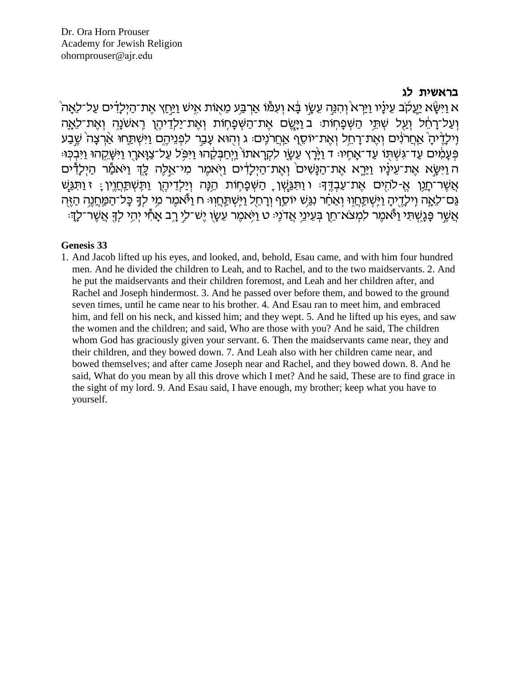### בראשית לג

ֹא וַיִּשָּׂא יַעֲלֹֽב עֵינַיו וַיֵּרְא וְהִנֵּה עֵשַׂו בַּׂא וְעִמּוֹ אַרְבֵּע מֵאוֹת אִישׁ וַיַּחַץ אֲת־הַיִלַדִים עַל־לֵאֲה ועל־רַחַל וַעַל שִׁתֵּי הַשִּׁפְחָוֹת: בּוַיַּשִׂם אֲת־הַשִּׁפַחוֹת וְאֲת־יַלְדֵיהֵן רָאשׁנַה וְאֲת־לָאֲה וֶילְדֶ֫יהָ אֲחֲרֹנִים וְאֶת־רָחֵל וְאֶת־יוֹסֵף אַחֲרֹנִים: ג וְהָוּא עָבַר לִפְנֵיהֶם וַיִּשְׁתַּחוּ אַ֫רְצָה שֵׁבַע ּפְּעֲמִ֫יִּם עַד־גְּשָׁתּוֹ עַד־אֲחֵיוּ ד וַיַּּרַץ עֶשֶׂו לִקְרַאתוֹ וַיִּחַבְּקֶ֫הוּ וַיִּפְּל עַל־צַוַּארֵו וַיִּשָׁקֵהוּ וַיִּבְכִּוּ ה וַיִּשֶׂא אֶת־עֵינָיו וַיַּרֵא אֵת־הַנָּשִׁים וְאֵת־הַיִּלָדִּים וַיָּאמֵר מִי־אֵלֶה לֶךְ וַיֹּאמַל הַיִּלָדִּים אֲשֶׁר־חֲנֵן אֱ-לֹהֶיִם אֱת־עַבְדֵּף: ו וַתְּגַּשָׁן ָ הַשִּׁפָּחֶוֹת הֱנָּה וְיַלְדֵיהֵן וַתְּשִׁתֲחֲוֵין : ז וַתְּגֲשׁ ְגַּם־לֵאֲה וַילְדֵיהָ וַיִּשְׁתַּחֲוִי וְאַחַר נְגֵּשׁ יוֹסֵף וְרָחֵל וַיִּשְׁתַּחֲוִיּּ ח וַיֹּאמֵר מֵי לִדְ כָּל־הַמַּחֲנֵה הַזֵּהְ אֲשֶׁר פֶּׁנֶשְׁתִּי וַיָּאמֶר לִמְצֹא־חֵן בְּעֵינֵי אֲדֹנְיּ ט וַיִּאמֶר עֵשָׂו יֶש־לֵי רֶב אָחָי יְהִי לְךָ אֲשֶׁר־לְךָוּ

#### **Genesis 33**

1. And Jacob lifted up his eyes, and looked, and, behold, Esau came, and with him four hundred men. And he divided the children to Leah, and to Rachel, and to the two maidservants. 2. And he put the maidservants and their children foremost, and Leah and her children after, and Rachel and Joseph hindermost. 3. And he passed over before them, and bowed to the ground seven times, until he came near to his brother. 4. And Esau ran to meet him, and embraced him, and fell on his neck, and kissed him; and they wept. 5. And he lifted up his eyes, and saw the women and the children; and said, Who are those with you? And he said, The children whom God has graciously given your servant. 6. Then the maidservants came near, they and their children, and they bowed down, 7. And Leah also with her children came near, and bowed themselves; and after came Joseph near and Rachel, and they bowed down. 8. And he said, What do you mean by all this drove which I met? And he said, These are to find grace in the sight of my lord. 9. And Esau said, I have enough, my brother; keep what you have to yourself.